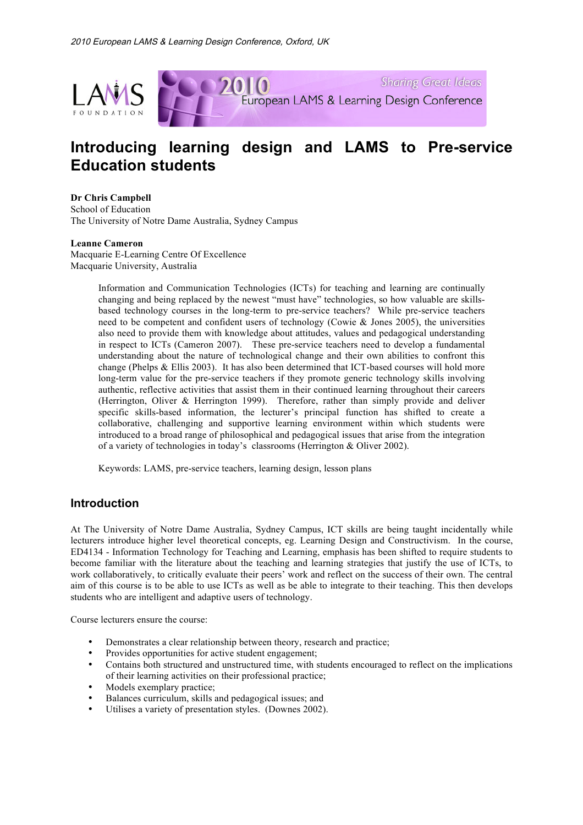

# **Introducing learning design and LAMS to Pre-service Education students**

## **Dr Chris Campbell**

School of Education The University of Notre Dame Australia, Sydney Campus

#### **Leanne Cameron**

Macquarie E-Learning Centre Of Excellence Macquarie University, Australia

> Information and Communication Technologies (ICTs) for teaching and learning are continually changing and being replaced by the newest "must have" technologies, so how valuable are skillsbased technology courses in the long-term to pre-service teachers? While pre-service teachers need to be competent and confident users of technology (Cowie  $&$  Jones 2005), the universities also need to provide them with knowledge about attitudes, values and pedagogical understanding in respect to ICTs (Cameron 2007). These pre-service teachers need to develop a fundamental understanding about the nature of technological change and their own abilities to confront this change (Phelps & Ellis 2003). It has also been determined that ICT-based courses will hold more long-term value for the pre-service teachers if they promote generic technology skills involving authentic, reflective activities that assist them in their continued learning throughout their careers (Herrington, Oliver & Herrington 1999). Therefore, rather than simply provide and deliver specific skills-based information, the lecturer's principal function has shifted to create a collaborative, challenging and supportive learning environment within which students were introduced to a broad range of philosophical and pedagogical issues that arise from the integration of a variety of technologies in today's classrooms (Herrington & Oliver 2002).

Keywords: LAMS, pre-service teachers, learning design, lesson plans

# **Introduction**

At The University of Notre Dame Australia, Sydney Campus, ICT skills are being taught incidentally while lecturers introduce higher level theoretical concepts, eg. Learning Design and Constructivism. In the course, ED4134 - Information Technology for Teaching and Learning, emphasis has been shifted to require students to become familiar with the literature about the teaching and learning strategies that justify the use of ICTs, to work collaboratively, to critically evaluate their peers' work and reflect on the success of their own. The central aim of this course is to be able to use ICTs as well as be able to integrate to their teaching. This then develops students who are intelligent and adaptive users of technology.

Course lecturers ensure the course:

- Demonstrates a clear relationship between theory, research and practice;
- Provides opportunities for active student engagement;
- Contains both structured and unstructured time, with students encouraged to reflect on the implications of their learning activities on their professional practice;
- Models exemplary practice;
- Balances curriculum, skills and pedagogical issues; and<br>• Itiliaes a variety of presentation styles. (Downes 2002)
- Utilises a variety of presentation styles. (Downes 2002).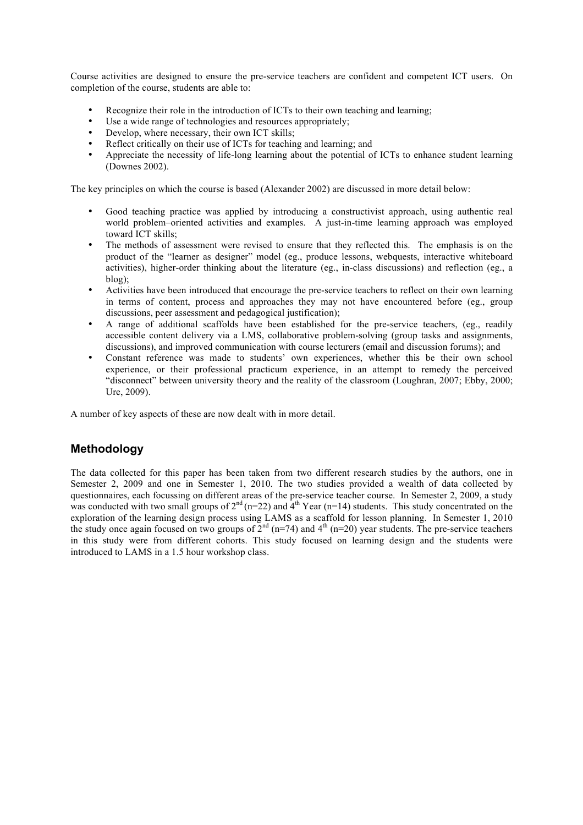Course activities are designed to ensure the pre-service teachers are confident and competent ICT users. On completion of the course, students are able to:

- Recognize their role in the introduction of ICTs to their own teaching and learning;
- Use a wide range of technologies and resources appropriately;
- Develop, where necessary, their own ICT skills;
- Reflect critically on their use of ICTs for teaching and learning; and
- Appreciate the necessity of life-long learning about the potential of ICTs to enhance student learning (Downes 2002).

The key principles on which the course is based (Alexander 2002) are discussed in more detail below:

- Good teaching practice was applied by introducing a constructivist approach, using authentic real world problem–oriented activities and examples. A just-in-time learning approach was employed toward ICT skills;
- The methods of assessment were revised to ensure that they reflected this. The emphasis is on the product of the "learner as designer" model (eg., produce lessons, webquests, interactive whiteboard activities), higher-order thinking about the literature (eg., in-class discussions) and reflection (eg., a blog);
- Activities have been introduced that encourage the pre-service teachers to reflect on their own learning in terms of content, process and approaches they may not have encountered before (eg., group discussions, peer assessment and pedagogical justification);
- A range of additional scaffolds have been established for the pre-service teachers, (eg., readily accessible content delivery via a LMS, collaborative problem-solving (group tasks and assignments, discussions), and improved communication with course lecturers (email and discussion forums); and
- Constant reference was made to students' own experiences, whether this be their own school experience, or their professional practicum experience, in an attempt to remedy the perceived "disconnect" between university theory and the reality of the classroom (Loughran, 2007; Ebby, 2000; Ure, 2009).

A number of key aspects of these are now dealt with in more detail.

# **Methodology**

The data collected for this paper has been taken from two different research studies by the authors, one in Semester 2, 2009 and one in Semester 1, 2010. The two studies provided a wealth of data collected by questionnaires, each focussing on different areas of the pre-service teacher course. In Semester 2, 2009, a study was conducted with two small groups of  $2<sup>nd</sup>$  (n=22) and  $4<sup>th</sup>$  Year (n=14) students. This study concentrated on the exploration of the learning design process using LAMS as a scaffold for lesson planning. In Semester 1, 2010 the study once again focused on two groups of  $2^{nd}$  (n=74) and  $4^{th}$  (n=20) year students. The pre-service teachers in this study were from different cohorts. This study focused on learning design and the students were introduced to LAMS in a 1.5 hour workshop class.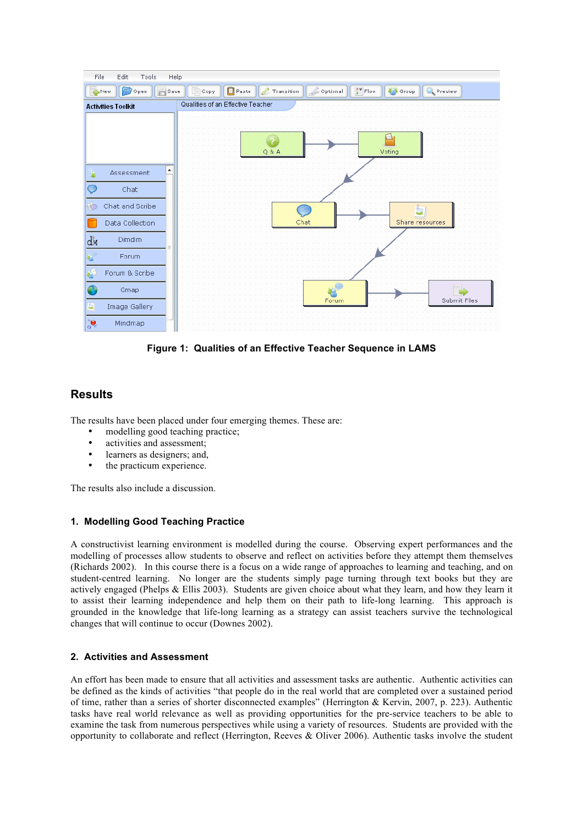

**Figure 1: Qualities of an Effective Teacher Sequence in LAMS**

# **Results**

The results have been placed under four emerging themes. These are:

- modelling good teaching practice;
- activities and assessment;
- learners as designers; and,
- the practicum experience.

The results also include a discussion.

### **1. Modelling Good Teaching Practice**

A constructivist learning environment is modelled during the course. Observing expert performances and the modelling of processes allow students to observe and reflect on activities before they attempt them themselves (Richards 2002). In this course there is a focus on a wide range of approaches to learning and teaching, and on student-centred learning. No longer are the students simply page turning through text books but they are actively engaged (Phelps & Ellis 2003). Students are given choice about what they learn, and how they learn it to assist their learning independence and help them on their path to life-long learning. This approach is grounded in the knowledge that life-long learning as a strategy can assist teachers survive the technological changes that will continue to occur (Downes 2002).

## **2. Activities and Assessment**

An effort has been made to ensure that all activities and assessment tasks are authentic. Authentic activities can be defined as the kinds of activities "that people do in the real world that are completed over a sustained period of time, rather than a series of shorter disconnected examples" (Herrington & Kervin, 2007, p. 223). Authentic tasks have real world relevance as well as providing opportunities for the pre-service teachers to be able to examine the task from numerous perspectives while using a variety of resources. Students are provided with the opportunity to collaborate and reflect (Herrington, Reeves & Oliver 2006). Authentic tasks involve the student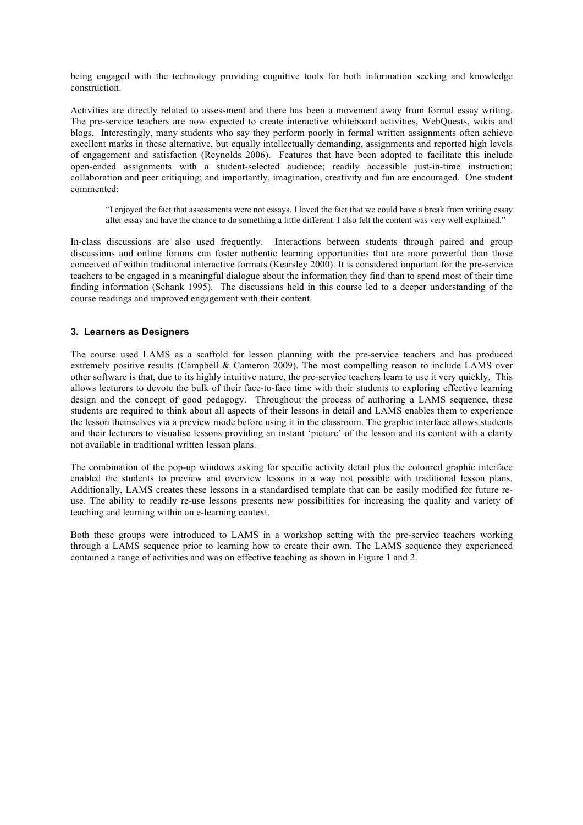being engaged with the technology providing cognitive tools for both information seeking and knowledge construction.

Activities are directly related to assessment and there has been a movement away from formal essay writing. The pre-service teachers are now expected to create interactive whiteboard activities, WebQuests, wikis and blogs. Interestingly, many students who say they perform poorly in formal written assignments often achieve excellent marks in these alternative, but equally intellectually demanding, assignments and reported high levels of engagement and satisfaction (Reynolds 2006). Features that have been adopted to facilitate this include open-ended assignments with a student-selected audience; readily accessible just-in-time instruction; collaboration and peer critiquing; and importantly, imagination, creativity and fun are encouraged. One student commented:

"I enjoyed the fact that assessments were not essays. I loved the fact that we could have a break from writing essay after essay and have the chance to do something a little different. I also felt the content was very well explained."

In-class discussions are also used frequently. Interactions between students through paired and group discussions and online forums can foster authentic learning opportunities that are more powerful than those conceived of within traditional interactive formats (Kearsley 2000). It is considered important for the pre-service teachers to be engaged in a meaningful dialogue about the information they find than to spend most of their time finding information (Schank 1995). The discussions held in this course led to a deeper understanding of the course readings and improved engagement with their content.

### **3. Learners as Designers**

The course used LAMS as a scaffold for lesson planning with the pre-service teachers and has produced extremely positive results (Campbell & Cameron 2009). The most compelling reason to include LAMS over other software is that, due to its highly intuitive nature, the pre-service teachers learn to use it very quickly. This allows lecturers to devote the bulk of their face-to-face time with their students to exploring effective learning design and the concept of good pedagogy. Throughout the process of authoring a LAMS sequence, these students are required to think about all aspects of their lessons in detail and LAMS enables them to experience the lesson themselves via a preview mode before using it in the classroom. The graphic interface allows students and their lecturers to visualise lessons providing an instant 'picture' of the lesson and its content with a clarity not available in traditional written lesson plans.

The combination of the pop-up windows asking for specific activity detail plus the coloured graphic interface enabled the students to preview and overview lessons in a way not possible with traditional lesson plans. Additionally, LAMS creates these lessons in a standardised template that can be easily modified for future reuse. The ability to readily re-use lessons presents new possibilities for increasing the quality and variety of teaching and learning within an e-learning context.

Both these groups were introduced to LAMS in a workshop setting with the pre-service teachers working through a LAMS sequence prior to learning how to create their own. The LAMS sequence they experienced contained a range of activities and was on effective teaching as shown in Figure 1 and 2.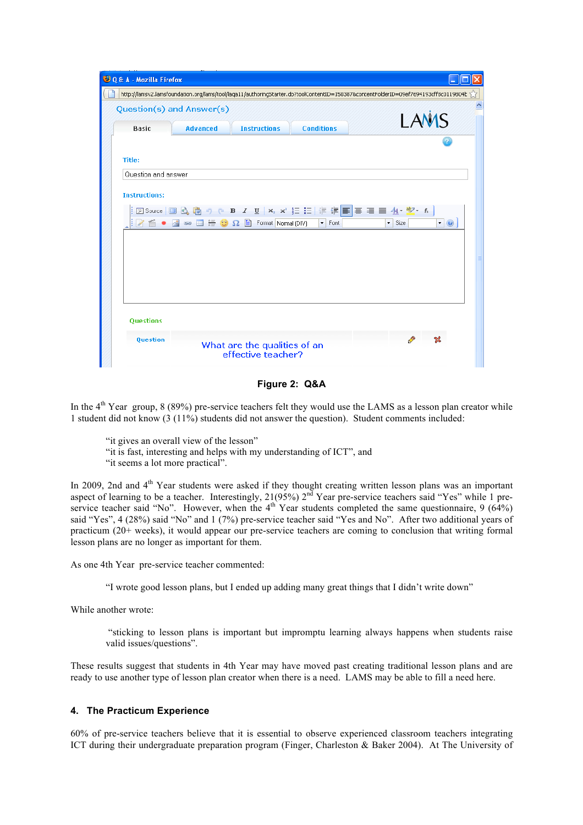| O Q & A - Mozilla Firefox |                 |                                                                                                                                                                                                    |                            |                                                                                                                                     |
|---------------------------|-----------------|----------------------------------------------------------------------------------------------------------------------------------------------------------------------------------------------------|----------------------------|-------------------------------------------------------------------------------------------------------------------------------------|
|                           |                 |                                                                                                                                                                                                    |                            | http://lamsv2.lamsfoundation.org/lams/tool/laqa11/authoringStarter.do?toolContentID=150387&contentFolderID=09ef7694193cff8c0119804E |
| Question(s) and Answer(s) |                 |                                                                                                                                                                                                    |                            |                                                                                                                                     |
| <b>Basic</b>              | <b>Advanced</b> | <b>Instructions</b>                                                                                                                                                                                | <b>Conditions</b>          | LAMS                                                                                                                                |
|                           |                 |                                                                                                                                                                                                    |                            |                                                                                                                                     |
| Title:                    |                 |                                                                                                                                                                                                    |                            |                                                                                                                                     |
| Question and answer       |                 |                                                                                                                                                                                                    |                            |                                                                                                                                     |
|                           |                 |                                                                                                                                                                                                    |                            |                                                                                                                                     |
| <b>Instructions:</b>      |                 |                                                                                                                                                                                                    |                            |                                                                                                                                     |
|                           |                 |                                                                                                                                                                                                    |                            | 図Source <mark>圓 6, 6</mark> り (* B / <u>U</u>   ×, ×' 扫 扫   年 伊 国 三 三 1 <mark>4</mark> ・ <mark>シ</mark> ・ ん                         |
| $2 -$                     |                 | $\color{orange} \blacksquare$ $\color{orange} \blacksquare$ $\color{orange} \blacksquare$ $\color{orange} \blacksquare$ $\color{orange} \Omega$ $\color{orange} \blacksquare$ Format [Normal (DIV) | $\blacktriangleright$ Font | $\cdot \circ$<br>$\overline{\phantom{a}}$ Size                                                                                      |
|                           |                 |                                                                                                                                                                                                    |                            |                                                                                                                                     |
|                           |                 |                                                                                                                                                                                                    |                            |                                                                                                                                     |
|                           |                 |                                                                                                                                                                                                    |                            |                                                                                                                                     |
|                           |                 |                                                                                                                                                                                                    |                            |                                                                                                                                     |
|                           |                 |                                                                                                                                                                                                    |                            |                                                                                                                                     |
|                           |                 |                                                                                                                                                                                                    |                            |                                                                                                                                     |
|                           |                 |                                                                                                                                                                                                    |                            |                                                                                                                                     |
| <b>Questions</b>          |                 |                                                                                                                                                                                                    |                            |                                                                                                                                     |
| Question                  |                 |                                                                                                                                                                                                    |                            |                                                                                                                                     |
|                           |                 | What are the qualities of an<br>effective teacher?                                                                                                                                                 |                            |                                                                                                                                     |
|                           |                 |                                                                                                                                                                                                    |                            |                                                                                                                                     |

**Figure 2: Q&A**

In the  $4<sup>th</sup>$  Year group, 8 (89%) pre-service teachers felt they would use the LAMS as a lesson plan creator while 1 student did not know (3 (11%) students did not answer the question). Student comments included:

"it gives an overall view of the lesson"

"it is fast, interesting and helps with my understanding of ICT", and

"it seems a lot more practical".

In 2009, 2nd and 4<sup>th</sup> Year students were asked if they thought creating written lesson plans was an important aspect of learning to be a teacher. Interestingly, 21(95%) 2<sup>nd</sup> Year pre-service teachers said "Yes" while 1 preservice teacher said "No". However, when the  $4<sup>th</sup>$  Year students completed the same questionnaire, 9 (64%) said "Yes", 4 (28%) said "No" and 1 (7%) pre-service teacher said "Yes and No". After two additional years of practicum (20+ weeks), it would appear our pre-service teachers are coming to conclusion that writing formal lesson plans are no longer as important for them.

As one 4th Year pre-service teacher commented:

"I wrote good lesson plans, but I ended up adding many great things that I didn't write down"

While another wrote:

 "sticking to lesson plans is important but impromptu learning always happens when students raise valid issues/questions".

These results suggest that students in 4th Year may have moved past creating traditional lesson plans and are ready to use another type of lesson plan creator when there is a need. LAMS may be able to fill a need here.

#### **4. The Practicum Experience**

60% of pre-service teachers believe that it is essential to observe experienced classroom teachers integrating ICT during their undergraduate preparation program (Finger, Charleston & Baker 2004). At The University of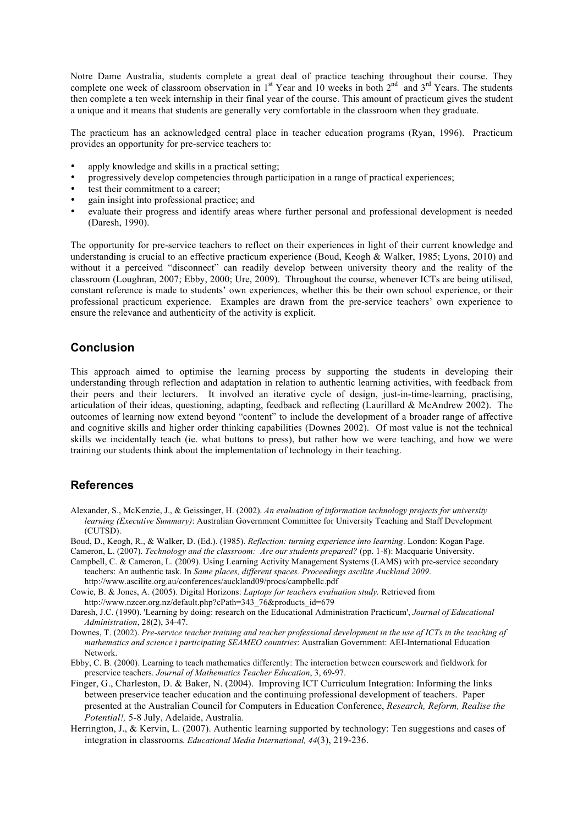Notre Dame Australia, students complete a great deal of practice teaching throughout their course. They complete one week of classroom observation in  $1<sup>st</sup>$  Year and 10 weeks in both  $2<sup>nd</sup>$  and  $3<sup>rd</sup>$  Years. The students then complete a ten week internship in their final year of the course. This amount of practicum gives the student a unique and it means that students are generally very comfortable in the classroom when they graduate.

The practicum has an acknowledged central place in teacher education programs (Ryan, 1996). Practicum provides an opportunity for pre-service teachers to:

- apply knowledge and skills in a practical setting;
- progressively develop competencies through participation in a range of practical experiences;
- test their commitment to a career;
- gain insight into professional practice; and
- evaluate their progress and identify areas where further personal and professional development is needed (Daresh, 1990).

The opportunity for pre-service teachers to reflect on their experiences in light of their current knowledge and understanding is crucial to an effective practicum experience (Boud, Keogh & Walker, 1985; Lyons, 2010) and without it a perceived "disconnect" can readily develop between university theory and the reality of the classroom (Loughran, 2007; Ebby, 2000; Ure, 2009). Throughout the course, whenever ICTs are being utilised, constant reference is made to students' own experiences, whether this be their own school experience, or their professional practicum experience. Examples are drawn from the pre-service teachers' own experience to ensure the relevance and authenticity of the activity is explicit.

## **Conclusion**

This approach aimed to optimise the learning process by supporting the students in developing their understanding through reflection and adaptation in relation to authentic learning activities, with feedback from their peers and their lecturers. It involved an iterative cycle of design, just-in-time-learning, practising, articulation of their ideas, questioning, adapting, feedback and reflecting (Laurillard & McAndrew 2002). The outcomes of learning now extend beyond "content" to include the development of a broader range of affective and cognitive skills and higher order thinking capabilities (Downes 2002). Of most value is not the technical skills we incidentally teach (ie. what buttons to press), but rather how we were teaching, and how we were training our students think about the implementation of technology in their teaching.

# **References**

- Alexander, S., McKenzie, J., & Geissinger, H. (2002). *An evaluation of information technology projects for university learning (Executive Summary)*: Australian Government Committee for University Teaching and Staff Development (CUTSD).
- Boud, D., Keogh, R., & Walker, D. (Ed.). (1985). *Reflection: turning experience into learning*. London: Kogan Page.
- Cameron, L. (2007). *Technology and the classroom: Are our students prepared?* (pp. 1-8): Macquarie University. Campbell, C. & Cameron, L. (2009). Using Learning Activity Management Systems (LAMS) with pre-service secondary teachers: An authentic task. In *Same places, different spaces. Proceedings ascilite Auckland 2009*.
- http://www.ascilite.org.au/conferences/auckland09/procs/campbellc.pdf Cowie, B. & Jones, A. (2005). Digital Horizons: *Laptops for teachers evaluation study.* Retrieved from
- http://www.nzcer.org.nz/default.php?cPath=343\_76&products\_id=679
- Daresh, J.C. (1990). 'Learning by doing: research on the Educational Administration Practicum', *Journal of Educational Administration*, 28(2), 34-47.
- Downes, T. (2002). *Pre-service teacher training and teacher professional development in the use of ICTs in the teaching of mathematics and science i participating SEAMEO countries*: Australian Government: AEI-International Education Network.
- Ebby, C. B. (2000). Learning to teach mathematics differently: The interaction between coursework and fieldwork for preservice teachers. *Journal of Mathematics Teacher Education*, 3, 69-97.
- Finger, G., Charleston, D. & Baker, N. (2004). Improving ICT Curriculum Integration: Informing the links between preservice teacher education and the continuing professional development of teachers. Paper presented at the Australian Council for Computers in Education Conference, *Research, Reform, Realise the Potential!,* 5-8 July, Adelaide, Australia*.*
- Herrington, J., & Kervin, L. (2007). Authentic learning supported by technology: Ten suggestions and cases of integration in classrooms*. Educational Media International, 44*(3), 219-236.